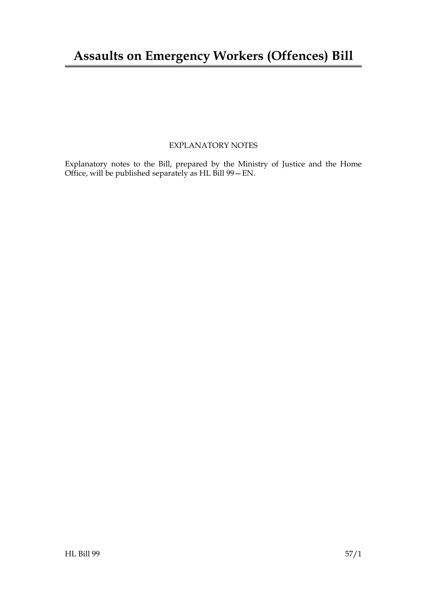### EXPLANATORY NOTES

Explanatory notes to the Bill, prepared by the Ministry of Justice and the Home Office, will be published separately as HL Bill 99—EN.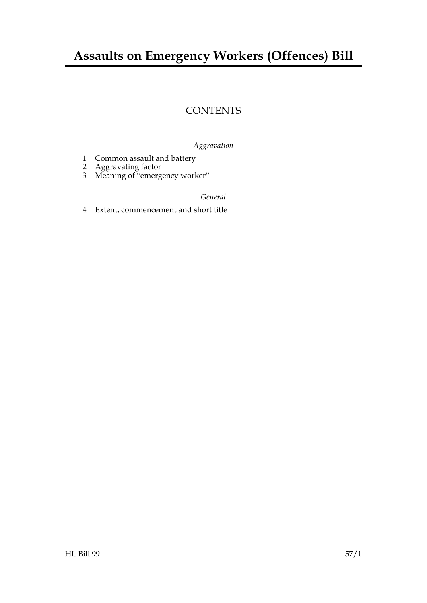## **Assaults on Emergency Workers (Offences) Bill**

### **CONTENTS**

### *Aggravation*

- 1 Common assault and battery
- 2 Aggravating factor
- 3 Meaning of "emergency worker"

#### *General*

4 Extent, commencement and short title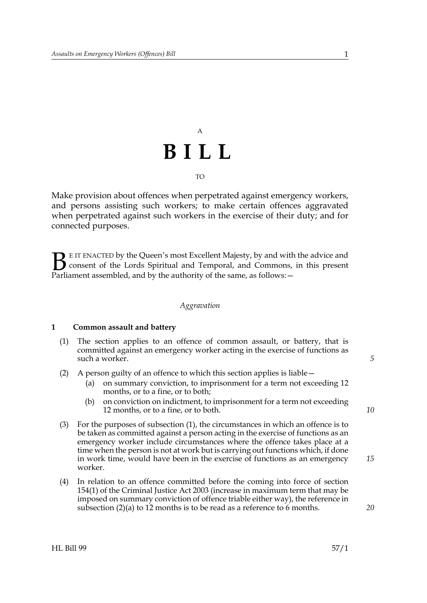# A **BILL** TO

Make provision about offences when perpetrated against emergency workers, and persons assisting such workers; to make certain offences aggravated when perpetrated against such workers in the exercise of their duty; and for connected purposes.

E IT ENACTED by the Queen's most Excellent Majesty, by and with the advice and consent of the Lords Spiritual and Temporal, and Commons, in this present **B** EIT ENACTED by the Queen's most Excellent Majesty, by and with consent of the Lords Spiritual and Temporal, and Commons, Parliament assembled, and by the authority of the same, as follows:  $-$ 

#### *Aggravation*

#### **1 Common assault and battery**

- (1) The section applies to an offence of common assault, or battery, that is committed against an emergency worker acting in the exercise of functions as such a worker.
- (2) A person guilty of an offence to which this section applies is liable—
	- (a) on summary conviction, to imprisonment for a term not exceeding 12 months, or to a fine, or to both;
	- (b) on conviction on indictment, to imprisonment for a term not exceeding 12 months, or to a fine, or to both.
- (3) For the purposes of subsection (1), the circumstances in which an offence is to be taken as committed against a person acting in the exercise of functions as an emergency worker include circumstances where the offence takes place at a time when the person is not at work but is carrying out functions which, if done in work time, would have been in the exercise of functions as an emergency worker.
- (4) In relation to an offence committed before the coming into force of section 154(1) of the Criminal Justice Act 2003 (increase in maximum term that may be imposed on summary conviction of offence triable either way), the reference in subsection (2)(a) to 12 months is to be read as a reference to 6 months.

*10*

*15*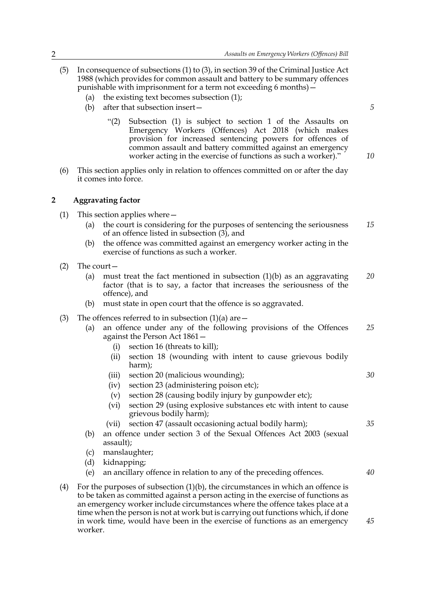- (5) In consequence of subsections (1) to (3), in section 39 of the Criminal Justice Act 1988 (which provides for common assault and battery to be summary offences punishable with imprisonment for a term not exceeding 6 months)—
	- (a) the existing text becomes subsection (1);
	- (b) after that subsection insert—
		- "(2) Subsection (1) is subject to section 1 of the Assaults on Emergency Workers (Offences) Act 2018 (which makes provision for increased sentencing powers for offences of common assault and battery committed against an emergency worker acting in the exercise of functions as such a worker)."
- (6) This section applies only in relation to offences committed on or after the day it comes into force.

#### **2 Aggravating factor**

- (1) This section applies where—
	- (a) the court is considering for the purposes of sentencing the seriousness of an offence listed in subsection (3), and *15*
	- (b) the offence was committed against an emergency worker acting in the exercise of functions as such a worker.
- (2) The court—
	- (a) must treat the fact mentioned in subsection  $(1)(b)$  as an aggravating factor (that is to say, a factor that increases the seriousness of the offence), and *20*
	- (b) must state in open court that the offence is so aggravated.
- (3) The offences referred to in subsection  $(1)(a)$  are  $-$ 
	- (a) an offence under any of the following provisions of the Offences against the Person Act 1861— *25*
		- (i) section 16 (threats to kill);
		- (ii) section 18 (wounding with intent to cause grievous bodily harm);
		- (iii) section 20 (malicious wounding);
		- (iv) section 23 (administering poison etc);
		- (v) section 28 (causing bodily injury by gunpowder etc);
		- (vi) section 29 (using explosive substances etc with intent to cause grievous bodily harm);
		- (vii) section 47 (assault occasioning actual bodily harm);
	- (b) an offence under section 3 of the Sexual Offences Act 2003 (sexual assault);
	- (c) manslaughter;
	- (d) kidnapping;
	- (e) an ancillary offence in relation to any of the preceding offences. *40*
- (4) For the purposes of subsection (1)(b), the circumstances in which an offence is to be taken as committed against a person acting in the exercise of functions as an emergency worker include circumstances where the offence takes place at a time when the person is not at work but is carrying out functions which, if done in work time, would have been in the exercise of functions as an emergency worker. *45*

*5*

*10*

*30*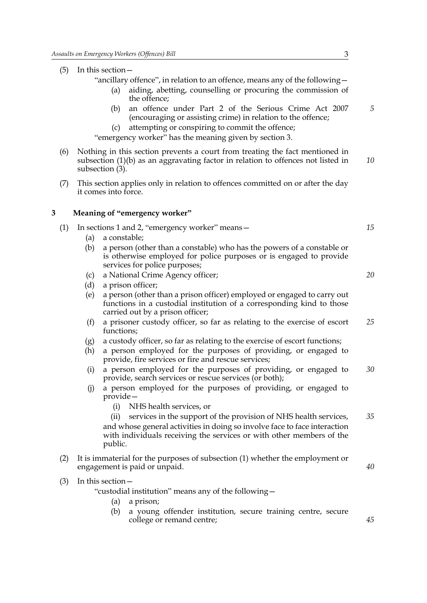(5) In this section—

"ancillary offence", in relation to an offence, means any of the following—

- (a) aiding, abetting, counselling or procuring the commission of the offence;
- (b) an offence under Part 2 of the Serious Crime Act 2007 (encouraging or assisting crime) in relation to the offence;
- (c) attempting or conspiring to commit the offence;

"emergency worker" has the meaning given by section 3.

- (6) Nothing in this section prevents a court from treating the fact mentioned in subsection (1)(b) as an aggravating factor in relation to offences not listed in subsection (3). *10*
- (7) This section applies only in relation to offences committed on or after the day it comes into force.

#### **3 Meaning of "emergency worker"**

| (1) | In sections 1 and 2, "emergency worker" means -                                                                |                                                                                                                                                                                                                                          | 15 |
|-----|----------------------------------------------------------------------------------------------------------------|------------------------------------------------------------------------------------------------------------------------------------------------------------------------------------------------------------------------------------------|----|
|     | (a)                                                                                                            | a constable;                                                                                                                                                                                                                             |    |
|     | (b)                                                                                                            | a person (other than a constable) who has the powers of a constable or<br>is otherwise employed for police purposes or is engaged to provide<br>services for police purposes;                                                            |    |
|     | (c)                                                                                                            | a National Crime Agency officer;                                                                                                                                                                                                         | 20 |
|     | (d)                                                                                                            | a prison officer;                                                                                                                                                                                                                        |    |
|     | (e)                                                                                                            | a person (other than a prison officer) employed or engaged to carry out<br>functions in a custodial institution of a corresponding kind to those<br>carried out by a prison officer;                                                     |    |
|     | (f)                                                                                                            | a prisoner custody officer, so far as relating to the exercise of escort<br>functions;                                                                                                                                                   | 25 |
|     | (g)                                                                                                            | a custody officer, so far as relating to the exercise of escort functions;                                                                                                                                                               |    |
|     | (h)                                                                                                            | a person employed for the purposes of providing, or engaged to<br>provide, fire services or fire and rescue services;                                                                                                                    |    |
|     | (i)                                                                                                            | a person employed for the purposes of providing, or engaged to<br>provide, search services or rescue services (or both);                                                                                                                 | 30 |
|     | (j)                                                                                                            | a person employed for the purposes of providing, or engaged to<br>$provide-$                                                                                                                                                             |    |
|     |                                                                                                                | NHS health services, or<br>(i)                                                                                                                                                                                                           |    |
|     |                                                                                                                | services in the support of the provision of NHS health services,<br>(ii)<br>and whose general activities in doing so involve face to face interaction<br>with individuals receiving the services or with other members of the<br>public. | 35 |
| (2) | It is immaterial for the purposes of subsection (1) whether the employment or<br>engagement is paid or unpaid. |                                                                                                                                                                                                                                          | 40 |
| (3) | In this section $-$<br>$(11.11)$ $(11.11)$ $(11.11)$<br>$6.1 \div 11$                                          |                                                                                                                                                                                                                                          |    |

"custodial institution" means any of the following—

- (a) a prison;
- (b) a young offender institution, secure training centre, secure college or remand centre;

*5*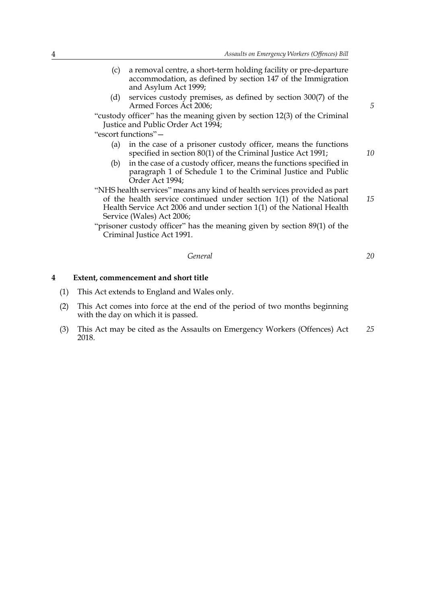- (c) a removal centre, a short-term holding facility or pre-departure accommodation, as defined by section 147 of the Immigration and Asylum Act 1999;
- (d) services custody premises, as defined by section 300(7) of the Armed Forces Act 2006;

"custody officer" has the meaning given by section 12(3) of the Criminal Justice and Public Order Act 1994;

"escort functions"—

- (a) in the case of a prisoner custody officer, means the functions specified in section 80(1) of the Criminal Justice Act 1991;
- (b) in the case of a custody officer, means the functions specified in paragraph 1 of Schedule 1 to the Criminal Justice and Public Order Act 1994;
- "NHS health services" means any kind of health services provided as part of the health service continued under section 1(1) of the National Health Service Act 2006 and under section 1(1) of the National Health Service (Wales) Act 2006;

"prisoner custody officer" has the meaning given by section 89(1) of the Criminal Justice Act 1991.

*General*

**4 Extent, commencement and short title**

- (1) This Act extends to England and Wales only.
- (2) This Act comes into force at the end of the period of two months beginning with the day on which it is passed.
- (3) This Act may be cited as the Assaults on Emergency Workers (Offences) Act 2018. *25*

*5*

*10*

*15*